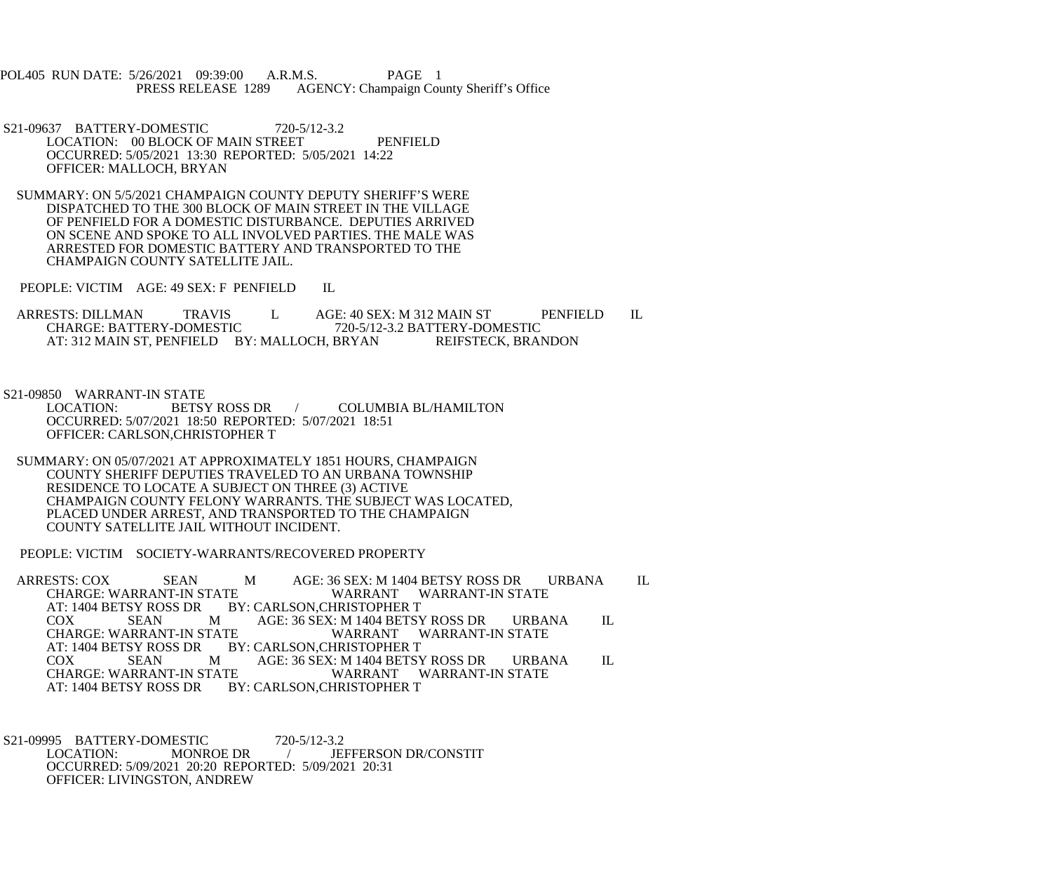- POL405 RUN DATE: 5/26/2021 09:39:00 A.R.M.S. PAGE 1<br>PRESS RELEASE 1289 AGENCY: Champaign Cou AGENCY: Champaign County Sheriff's Office
- S21-09637 BATTERY-DOMESTIC 720-5/12-3.2 LOCATION: 00 BLOCK OF MAIN STREET PENFIELD OCCURRED: 5/05/2021 13:30 REPORTED: 5/05/2021 14:22 OFFICER: MALLOCH, BRYAN
- SUMMARY: ON 5/5/2021 CHAMPAIGN COUNTY DEPUTY SHERIFF'S WERE DISPATCHED TO THE 300 BLOCK OF MAIN STREET IN THE VILLAGE OF PENFIELD FOR A DOMESTIC DISTURBANCE. DEPUTIES ARRIVED ON SCENE AND SPOKE TO ALL INVOLVED PARTIES. THE MALE WAS ARRESTED FOR DOMESTIC BATTERY AND TRANSPORTED TO THE CHAMPAIGN COUNTY SATELLITE JAIL.
- PEOPLE: VICTIM AGE: 49 SEX: F PENFIELD IL
- ARRESTS: DILLMAN TRAVIS L AGE: 40 SEX: M 312 MAIN ST PENFIELD IL<br>CHARGE: BATTERY-DOMESTIC 720-5/12-3.2 BATTERY-DOMESTIC CHARGE: BATTERY-DOMESTIC 720-5/12-3.2 BATTERY-DOMESTIC AT: 312 MAIN ST, PENFIELD BY: MALLOCH, BRYAN

- S21-09850 WARRANT-IN STATE<br>LOCATION: BETSY ROSS DR COLUMBIA BL/HAMILTON OCCURRED: 5/07/2021 18:50 REPORTED: 5/07/2021 18:51 OFFICER: CARLSON,CHRISTOPHER T
- SUMMARY: ON 05/07/2021 AT APPROXIMATELY 1851 HOURS, CHAMPAIGN COUNTY SHERIFF DEPUTIES TRAVELED TO AN URBANA TOWNSHIP RESIDENCE TO LOCATE A SUBJECT ON THREE (3) ACTIVE CHAMPAIGN COUNTY FELONY WARRANTS. THE SUBJECT WAS LOCATED, PLACED UNDER ARREST, AND TRANSPORTED TO THE CHAMPAIGN COUNTY SATELLITE JAIL WITHOUT INCIDENT.

PEOPLE: VICTIM SOCIETY-WARRANTS/RECOVERED PROPERTY

- ARRESTS: COX SEAN MAGE: 36 SEX: M 1404 BETSY ROSS DRURBANA IL CHARGE: WARRANT-IN STATE WARRANT WARRANT-IN STATE CHARGE: WARRANT-IN STATE WARRANT WARRANT-IN STATE<br>AT: 1404 BETSY ROSS DR BY: CARLSON,CHRISTOPHER T AT: 1404 BETSY ROSS DR BY: CARLSON, CHRISTOPHER T<br>COX SEAN M AGE: 36 SEX: M 1404 BETSY AGE: 36 SEX: M 1404 BETSY ROSS DR URBANA IL WARRANT WARRANT-IN STATE CHARGE: WARRANT-IN STATE<br>AT: 1404 BETSY ROSS DR B' AT: 1404 BETSY ROSS DR BY: CARLSON, CHRISTOPHER T<br>COX SEAN M AGE: 36 SEX: M 1404 BETSY COX SEAN M AGE: 36 SEX: M 1404 BETSY ROSS DR URBANA IL CHARGE: WARRANT-IN STATE WARRANT WARRANT-IN STATE CHARGE: WARRANT-IN STATE WARRANT WARRANT-IN STATE<br>AT: 1404 BETSY ROSS DR BY: CARLSON.CHRISTOPHER T **BY: CARLSON,CHRISTOPHER T**
- S21-09995 BATTERY-DOMESTIC 720-5/12-3.2<br>LOCATION: MONROE DR / JE LOCATION: MONROE DR / JEFFERSON DR/CONSTIT OCCURRED: 5/09/2021 20:20 REPORTED: 5/09/2021 20:31 OFFICER: LIVINGSTON, ANDREW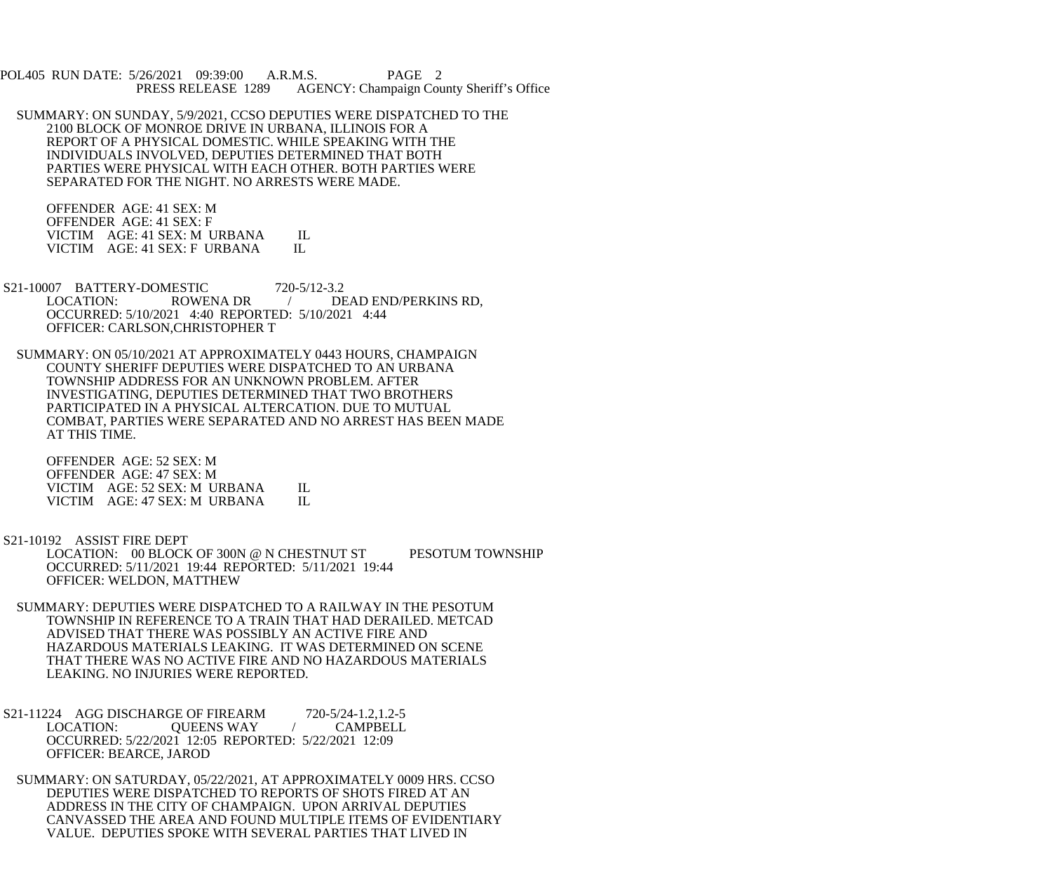POL405 RUN DATE: 5/26/2021 09:39:00 A.R.M.S. PAGE 2<br>PRESS RELEASE 1289 AGENCY: Champaign Cou AGENCY: Champaign County Sheriff's Office

 SUMMARY: ON SUNDAY, 5/9/2021, CCSO DEPUTIES WERE DISPATCHED TO THE 2100 BLOCK OF MONROE DRIVE IN URBANA, ILLINOIS FOR A REPORT OF A PHYSICAL DOMESTIC. WHILE SPEAKING WITH THE INDIVIDUALS INVOLVED, DEPUTIES DETERMINED THAT BOTH PARTIES WERE PHYSICAL WITH EACH OTHER. BOTH PARTIES WERE SEPARATED FOR THE NIGHT. NO ARRESTS WERE MADE.

 OFFENDER AGE: 41 SEX: M OFFENDER AGE: 41 SEX: F VICTIM AGE: 41 SEX: M URBANA IL<br>VICTIM AGE: 41 SEX: F URBANA IL VICTIM AGE: 41 SEX: F URBANA

- S21-10007 BATTERY-DOMESTIC 720-5/12-3.2 LOCATION: ROWENA DR / DEAD END/PERKINS RD, OCCURRED: 5/10/2021 4:40 REPORTED: 5/10/2021 4:44 OFFICER: CARLSON,CHRISTOPHER T
	- SUMMARY: ON 05/10/2021 AT APPROXIMATELY 0443 HOURS, CHAMPAIGN COUNTY SHERIFF DEPUTIES WERE DISPATCHED TO AN URBANA TOWNSHIP ADDRESS FOR AN UNKNOWN PROBLEM. AFTER INVESTIGATING, DEPUTIES DETERMINED THAT TWO BROTHERS PARTICIPATED IN A PHYSICAL ALTERCATION. DUE TO MUTUAL COMBAT, PARTIES WERE SEPARATED AND NO ARREST HAS BEEN MADE AT THIS TIME.

 OFFENDER AGE: 52 SEX: M OFFENDER AGE: 47 SEX: M VICTIM AGE: 52 SEX: M URBANA IL<br>VICTIM AGE: 47 SEX: M URBANA IL VICTIM AGE: 47 SEX: M URBANA

- S21-10192 ASSIST FIRE DEPT LOCATION: 00 BLOCK OF 300N @ N CHESTNUT ST PESOTUM TOWNSHIP OCCURRED: 5/11/2021 19:44 REPORTED: 5/11/2021 19:44 OFFICER: WELDON, MATTHEW
- SUMMARY: DEPUTIES WERE DISPATCHED TO A RAILWAY IN THE PESOTUM TOWNSHIP IN REFERENCE TO A TRAIN THAT HAD DERAILED. METCAD ADVISED THAT THERE WAS POSSIBLY AN ACTIVE FIRE AND HAZARDOUS MATERIALS LEAKING. IT WAS DETERMINED ON SCENE THAT THERE WAS NO ACTIVE FIRE AND NO HAZARDOUS MATERIALS LEAKING. NO INJURIES WERE REPORTED.
- S21-11224 AGG DISCHARGE OF FIREARM 720-5/24-1.2,1.2-5<br>LOCATION: OUEENS WAY / CAMPBELL QUEENS WAY / OCCURRED: 5/22/2021 12:05 REPORTED: 5/22/2021 12:09 OFFICER: BEARCE, JAROD
- SUMMARY: ON SATURDAY, 05/22/2021, AT APPROXIMATELY 0009 HRS. CCSO DEPUTIES WERE DISPATCHED TO REPORTS OF SHOTS FIRED AT AN ADDRESS IN THE CITY OF CHAMPAIGN. UPON ARRIVAL DEPUTIES CANVASSED THE AREA AND FOUND MULTIPLE ITEMS OF EVIDENTIARY VALUE. DEPUTIES SPOKE WITH SEVERAL PARTIES THAT LIVED IN